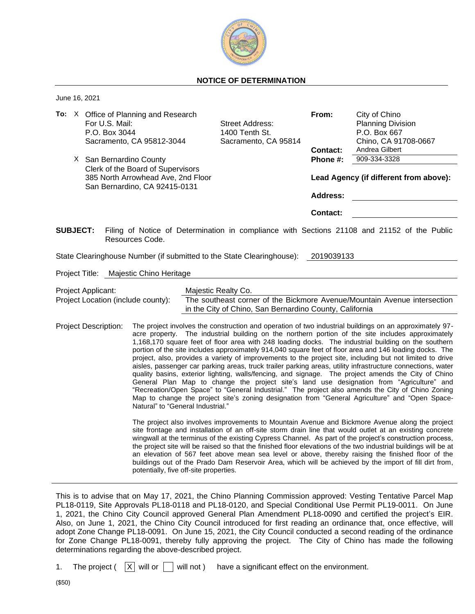

## **NOTICE OF DETERMINATION**

June 16, 2021

|                 |  | To: X Office of Planning and Research<br>For U.S. Mail:<br>P.O. Box 3044<br>Sacramento, CA 95812-3044          | From:<br><b>Street Address:</b><br>1400 Tenth St.<br>Sacramento, CA 95814<br><b>Contact:</b><br>Phone #:<br><b>Address:</b>                                                                                                                                                                                             |                                        | City of Chino<br><b>Planning Division</b><br>P.O. Box 667<br>Chino, CA 91708-0667                                                                                                                                                                                                                                                                                                                                                                                                                                                                                                                                                                                                                                                                                                                                                                                                                                                                                                                                                                                      |  |
|-----------------|--|----------------------------------------------------------------------------------------------------------------|-------------------------------------------------------------------------------------------------------------------------------------------------------------------------------------------------------------------------------------------------------------------------------------------------------------------------|----------------------------------------|------------------------------------------------------------------------------------------------------------------------------------------------------------------------------------------------------------------------------------------------------------------------------------------------------------------------------------------------------------------------------------------------------------------------------------------------------------------------------------------------------------------------------------------------------------------------------------------------------------------------------------------------------------------------------------------------------------------------------------------------------------------------------------------------------------------------------------------------------------------------------------------------------------------------------------------------------------------------------------------------------------------------------------------------------------------------|--|
|                 |  | X San Bernardino County                                                                                        |                                                                                                                                                                                                                                                                                                                         |                                        | Andrea Gilbert<br>909-334-3328                                                                                                                                                                                                                                                                                                                                                                                                                                                                                                                                                                                                                                                                                                                                                                                                                                                                                                                                                                                                                                         |  |
|                 |  | Clerk of the Board of Supervisors                                                                              |                                                                                                                                                                                                                                                                                                                         |                                        |                                                                                                                                                                                                                                                                                                                                                                                                                                                                                                                                                                                                                                                                                                                                                                                                                                                                                                                                                                                                                                                                        |  |
|                 |  | 385 North Arrowhead Ave, 2nd Floor<br>San Bernardino, CA 92415-0131                                            |                                                                                                                                                                                                                                                                                                                         | Lead Agency (if different from above): |                                                                                                                                                                                                                                                                                                                                                                                                                                                                                                                                                                                                                                                                                                                                                                                                                                                                                                                                                                                                                                                                        |  |
|                 |  |                                                                                                                |                                                                                                                                                                                                                                                                                                                         |                                        |                                                                                                                                                                                                                                                                                                                                                                                                                                                                                                                                                                                                                                                                                                                                                                                                                                                                                                                                                                                                                                                                        |  |
|                 |  |                                                                                                                |                                                                                                                                                                                                                                                                                                                         | <b>Contact:</b>                        |                                                                                                                                                                                                                                                                                                                                                                                                                                                                                                                                                                                                                                                                                                                                                                                                                                                                                                                                                                                                                                                                        |  |
| <b>SUBJECT:</b> |  | Filing of Notice of Determination in compliance with Sections 21108 and 21152 of the Public<br>Resources Code. |                                                                                                                                                                                                                                                                                                                         |                                        |                                                                                                                                                                                                                                                                                                                                                                                                                                                                                                                                                                                                                                                                                                                                                                                                                                                                                                                                                                                                                                                                        |  |
|                 |  | State Clearinghouse Number (if submitted to the State Clearinghouse):                                          |                                                                                                                                                                                                                                                                                                                         | 2019039133                             |                                                                                                                                                                                                                                                                                                                                                                                                                                                                                                                                                                                                                                                                                                                                                                                                                                                                                                                                                                                                                                                                        |  |
|                 |  | Project Title: Majestic Chino Heritage                                                                         |                                                                                                                                                                                                                                                                                                                         |                                        |                                                                                                                                                                                                                                                                                                                                                                                                                                                                                                                                                                                                                                                                                                                                                                                                                                                                                                                                                                                                                                                                        |  |
|                 |  | Project Applicant:                                                                                             | Majestic Realty Co.                                                                                                                                                                                                                                                                                                     |                                        |                                                                                                                                                                                                                                                                                                                                                                                                                                                                                                                                                                                                                                                                                                                                                                                                                                                                                                                                                                                                                                                                        |  |
|                 |  | Project Location (include county):                                                                             | in the City of Chino, San Bernardino County, California                                                                                                                                                                                                                                                                 |                                        | The southeast corner of the Bickmore Avenue/Mountain Avenue intersection                                                                                                                                                                                                                                                                                                                                                                                                                                                                                                                                                                                                                                                                                                                                                                                                                                                                                                                                                                                               |  |
|                 |  | <b>Project Description:</b><br>Natural" to "General Industrial."                                               |                                                                                                                                                                                                                                                                                                                         |                                        | The project involves the construction and operation of two industrial buildings on an approximately 97-<br>acre property. The industrial building on the northern portion of the site includes approximately<br>1,168,170 square feet of floor area with 248 loading docks. The industrial building on the southern<br>portion of the site includes approximately 914,040 square feet of floor area and 146 loading docks. The<br>project, also, provides a variety of improvements to the project site, including but not limited to drive<br>aisles, passenger car parking areas, truck trailer parking areas, utility infrastructure connections, water<br>quality basins, exterior lighting, walls/fencing, and signage. The project amends the City of Chino<br>General Plan Map to change the project site's land use designation from "Agriculture" and<br>"Recreation/Open Space" to "General Industrial." The project also amends the City of Chino Zoning<br>Map to change the project site's zoning designation from "General Agriculture" and "Open Space- |  |
|                 |  |                                                                                                                | The project also involves improvements to Mountain Avenue and Bickmore Avenue along the project<br>site frontage and installation of an off-site storm drain line that would outlet at an existing concrete<br>wingwall at the terminus of the existing Cypress Channel. As part of the project's construction process, |                                        |                                                                                                                                                                                                                                                                                                                                                                                                                                                                                                                                                                                                                                                                                                                                                                                                                                                                                                                                                                                                                                                                        |  |

the project site will be raised so that the finished floor elevations of the two industrial buildings will be at an elevation of 567 feet above mean sea level or above, thereby raising the finished floor of the buildings out of the Prado Dam Reservoir Area, which will be achieved by the import of fill dirt from, potentially, five off-site properties.

This is to advise that on May 17, 2021, the Chino Planning Commission approved: Vesting Tentative Parcel Map PL18-0119, Site Approvals PL18-0118 and PL18-0120, and Special Conditional Use Permit PL19-0011. On June 1, 2021, the Chino City Council approved General Plan Amendment PL18-0090 and certified the project's EIR. Also, on June 1, 2021, the Chino City Council introduced for first reading an ordinance that, once effective, will adopt Zone Change PL18-0091. On June 15, 2021, the City Council conducted a second reading of the ordinance for Zone Change PL18-0091, thereby fully approving the project. The City of Chino has made the following determinations regarding the above-described project.

1. The project  $(|X|)$  will or  $|$  will not  $)$  have a significant effect on the environment.